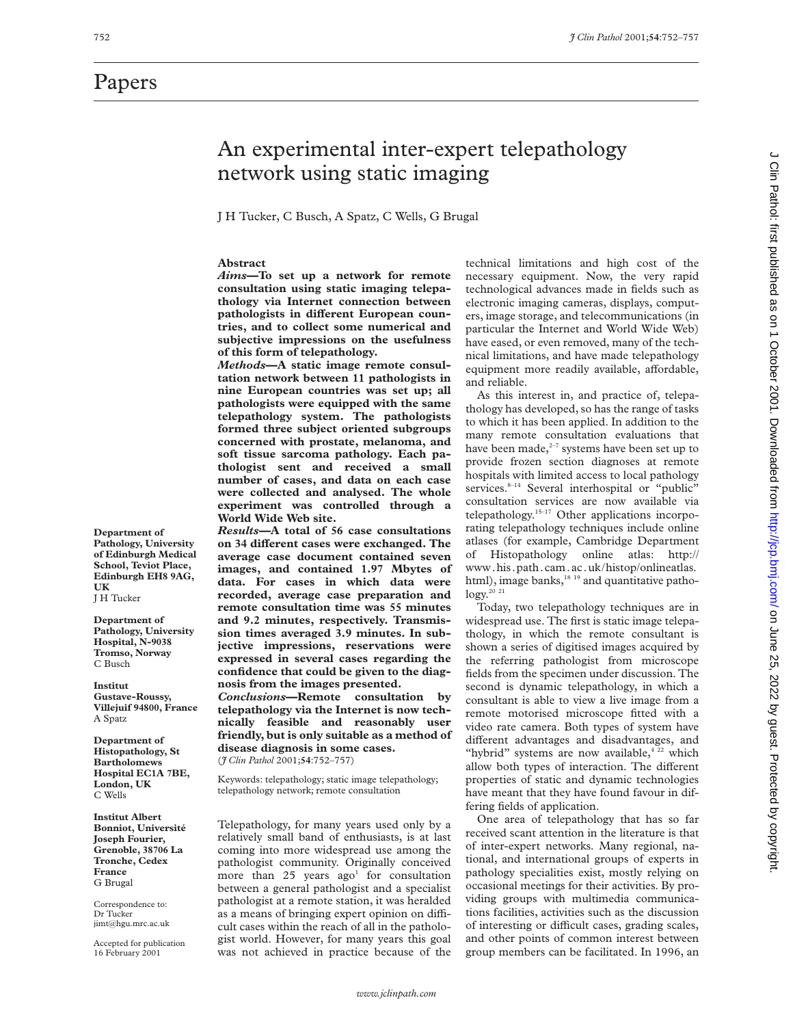### Papers

**Department of Pathology, University of Edinburgh Medical School, Teviot Place, Edinburgh EH8 9AG,**

**UK** J H Tucker **Department of Pathology, University Hospital, N-9038 Tromso, Norway** C Busch **Institut Gustave-Roussy, Villejuif 94800, France**

A Spatz

**Department of Histopathology, St Bartholomews Hospital EC1A 7BE, London, UK** C Wells

**Institut Albert Bonniot, Université Joseph Fourier, Grenoble, 38706 La Tronche, Cedex France** G Brugal

Correspondence to: Dr Tucker jimt@hgu.mrc.ac.uk Accepted for publication 16 February 2001

## An experimental inter-expert telepathology network using static imaging

J H Tucker, C Busch, A Spatz, C Wells, G Brugal

#### **Abstract**

*Aims***—To set up a network for remote consultation using static imaging telepathology via Internet connection between** pathologists in different European coun**tries, and to collect some numerical and subjective impressions on the usefulness of this form of telepathology.**

*Methods***—A static image remote consultation network between 11 pathologists in nine European countries was set up; all pathologists were equipped with the same telepathology system. The pathologists formed three subject oriented subgroups concerned with prostate, melanoma, and soft tissue sarcoma pathology. Each pathologist sent and received a small number of cases, and data on each case were collected and analysed. The whole experiment was controlled through a World Wide Web site.**

*Results—***A total of 56 case consultations on 34 diVerent cases were exchanged. The average case document contained seven images, and contained 1.97 Mbytes of data. For cases in which data were recorded, average case preparation and remote consultation time was 55 minutes and 9.2 minutes, respectively. Transmission times averaged 3.9 minutes. In subjective impressions, reservations were expressed in several cases regarding the confidence that could be given to the diagnosis from the images presented.**

*Conclusions***—Remote consultation by telepathology via the Internet is now technically feasible and reasonably user friendly, but is only suitable as a method of disease diagnosis in some cases.** (*J Clin Pathol* 2001;**54**:752–757)

Keywords: telepathology; static image telepathology; telepathology network; remote consultation

Telepathology, for many years used only by a relatively small band of enthusiasts, is at last coming into more widespread use among the pathologist community. Originally conceived more than  $25$  years ago<sup>1</sup> for consultation between a general pathologist and a specialist pathologist at a remote station, it was heralded as a means of bringing expert opinion on difficult cases within the reach of all in the pathologist world. However, for many years this goal was not achieved in practice because of the

technical limitations and high cost of the necessary equipment. Now, the very rapid technological advances made in fields such as electronic imaging cameras, displays, computers, image storage, and telecommunications (in particular the Internet and World Wide Web) have eased, or even removed, many of the technical limitations, and have made telepathology equipment more readily available, affordable, and reliable.

As this interest in, and practice of, telepathology has developed, so has the range of tasks to which it has been applied. In addition to the many remote consultation evaluations that have been made, $2-7$  systems have been set up to provide frozen section diagnoses at remote hospitals with limited access to local pathology services.<sup>8-14</sup> Several interhospital or "public" consultation services are now available via telepathology.15–17 Other applications incorporating telepathology techniques include online atlases (for example, Cambridge Department of Histopathology online atlas: http:// www.his.path.cam.ac.uk/histop/onlineatlas. html), image banks,<sup>18 19</sup> and quantitative patho $logy.^{20}$ <sup>21</sup>

Today, two telepathology techniques are in widespread use. The first is static image telepathology, in which the remote consultant is shown a series of digitised images acquired by the referring pathologist from microscope fields from the specimen under discussion. The second is dynamic telepathology, in which a consultant is able to view a live image from a remote motorised microscope fitted with a video rate camera. Both types of system have different advantages and disadvantages, and "hybrid" systems are now available, $4^{22}$  which allow both types of interaction. The different properties of static and dynamic technologies have meant that they have found favour in differing fields of application.

One area of telepathology that has so far received scant attention in the literature is that of inter-expert networks. Many regional, national, and international groups of experts in pathology specialities exist, mostly relying on occasional meetings for their activities. By providing groups with multimedia communications facilities, activities such as the discussion of interesting or difficult cases, grading scales, and other points of common interest between group members can be facilitated. In 1996, an

J Clin Pathol: first published as on 1 October 2001. Downloaded from http://jcp.bmj.com/ on June 25, 2022 by guest. Protected by copyright on June 2022 by Superstands by Guest. Protected by Guest. Propirity is a line with publishing and the 2002 by Clin Pathol: first published as on 1 October 2002 in Pathol: first published as on 1 October 2001. Downloaded fr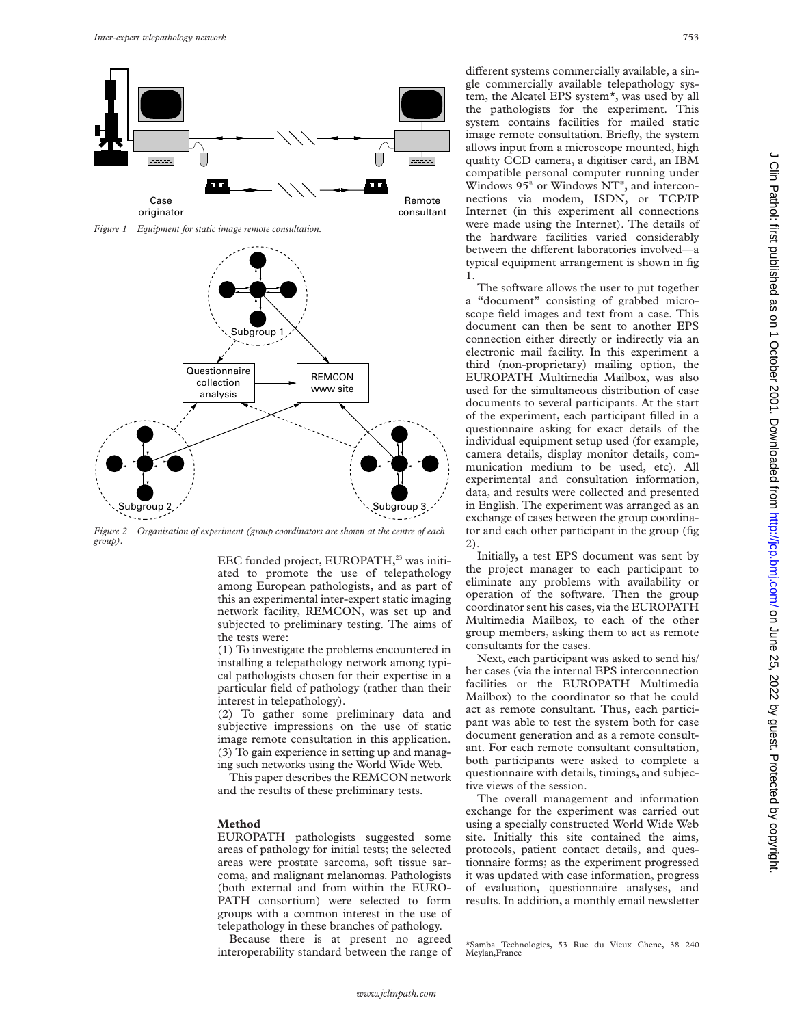

*Figure 1 Equipment for static image remote consultation.*



*Figure 2 Organisation of experiment (group coordinators are shown at the centre of each group).*

EEC funded project, EUROPATH,<sup>23</sup> was initiated to promote the use of telepathology among European pathologists, and as part of this an experimental inter-expert static imaging network facility, REMCON, was set up and subjected to preliminary testing. The aims of the tests were:

(1) To investigate the problems encountered in installing a telepathology network among typical pathologists chosen for their expertise in a particular field of pathology (rather than their interest in telepathology).

(2) To gather some preliminary data and subjective impressions on the use of static image remote consultation in this application. (3) To gain experience in setting up and managing such networks using the World Wide Web.

This paper describes the REMCON network and the results of these preliminary tests.

#### **Method**

EUROPATH pathologists suggested some areas of pathology for initial tests; the selected areas were prostate sarcoma, soft tissue sarcoma, and malignant melanomas. Pathologists (both external and from within the EURO-PATH consortium) were selected to form groups with a common interest in the use of telepathology in these branches of pathology.

Because there is at present no agreed interoperability standard between the range of different systems commercially available, a single commercially available telepathology system, the Alcatel EPS system\*, was used by all the pathologists for the experiment. This system contains facilities for mailed static image remote consultation. Briefly, the system allows input from a microscope mounted, high quality CCD camera, a digitiser card, an IBM compatible personal computer running under Windows 95® or Windows NT® , and interconnections via modem, ISDN, or TCP/IP Internet (in this experiment all connections were made using the Internet). The details of the hardware facilities varied considerably between the different laboratories involved—a typical equipment arrangement is shown in fig 1.

The software allows the user to put together a "document" consisting of grabbed microscope field images and text from a case. This document can then be sent to another EPS connection either directly or indirectly via an electronic mail facility. In this experiment a third (non-proprietary) mailing option, the EUROPATH Multimedia Mailbox, was also used for the simultaneous distribution of case documents to several participants. At the start of the experiment, each participant filled in a questionnaire asking for exact details of the individual equipment setup used (for example, camera details, display monitor details, communication medium to be used, etc). All experimental and consultation information, data, and results were collected and presented in English. The experiment was arranged as an exchange of cases between the group coordinator and each other participant in the group (fig 2).

Initially, a test EPS document was sent by the project manager to each participant to eliminate any problems with availability or operation of the software. Then the group coordinator sent his cases, via the EUROPATH Multimedia Mailbox, to each of the other group members, asking them to act as remote consultants for the cases.

Next, each participant was asked to send his/ her cases (via the internal EPS interconnection facilities or the EUROPATH Multimedia Mailbox) to the coordinator so that he could act as remote consultant. Thus, each participant was able to test the system both for case document generation and as a remote consultant. For each remote consultant consultation, both participants were asked to complete a questionnaire with details, timings, and subjective views of the session.

The overall management and information exchange for the experiment was carried out using a specially constructed World Wide Web site. Initially this site contained the aims, protocols, patient contact details, and questionnaire forms; as the experiment progressed it was updated with case information, progress of evaluation, questionnaire analyses, and results. In addition, a monthly email newsletter

<sup>\*</sup>Samba Technologies, 53 Rue du Vieux Chene, 38 240 Meylan,France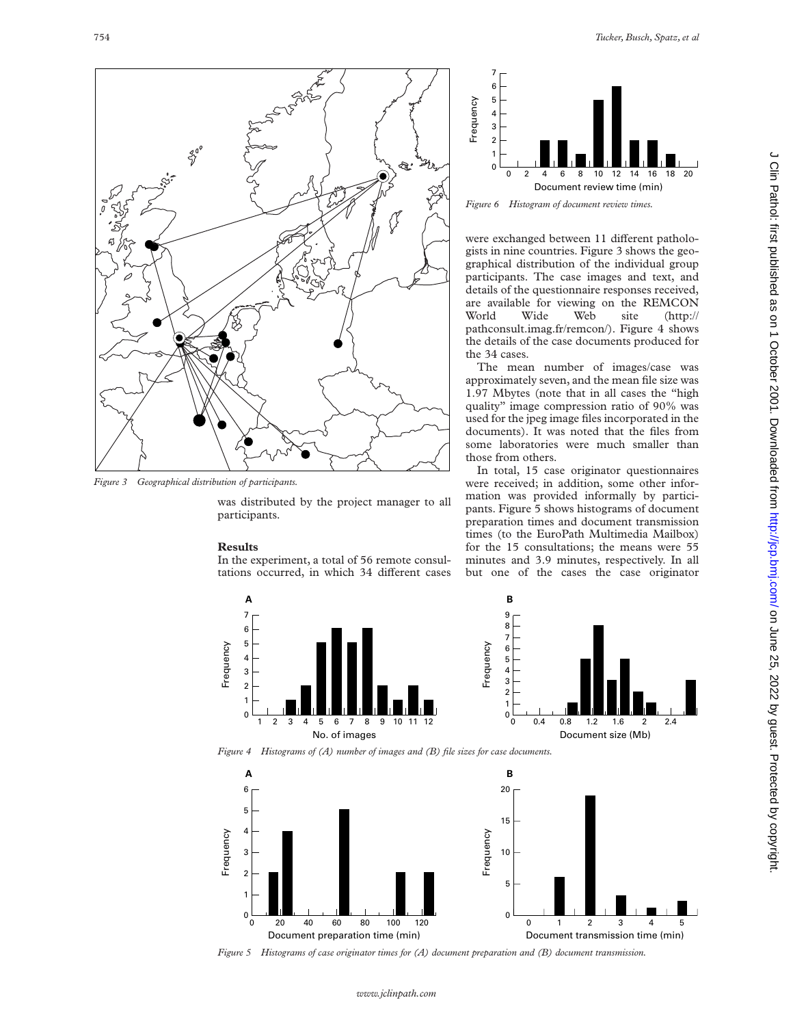

*Figure 3 Geographical distribution of participants.*

was distributed by the project manager to all participants.

#### **Results**

In the experiment, a total of 56 remote consultations occurred, in which 34 different cases



*Figure 6 Histogram of document review times.*

were exchanged between 11 different pathologists in nine countries. Figure 3 shows the geographical distribution of the individual group participants. The case images and text, and details of the questionnaire responses received, are available for viewing on the REMCON World Wide Web site (http:// pathconsult.imag.fr/remcon/). Figure 4 shows the details of the case documents produced for the 34 cases.

The mean number of images/case was approximately seven, and the mean file size was 1.97 Mbytes (note that in all cases the "high quality" image compression ratio of 90% was used for the jpeg image files incorporated in the documents). It was noted that the files from some laboratories were much smaller than those from others.

In total, 15 case originator questionnaires were received; in addition, some other information was provided informally by participants. Figure 5 shows histograms of document preparation times and document transmission times (to the EuroPath Multimedia Mailbox) for the 15 consultations; the means were 55 minutes and 3.9 minutes, respectively. In all but one of the cases the case originator





*Figure 4 Histograms of (A) number of images and (B) file sizes for case documents.*



*Figure 5 Histograms of case originator times for (A) document preparation and (B) document transmission.*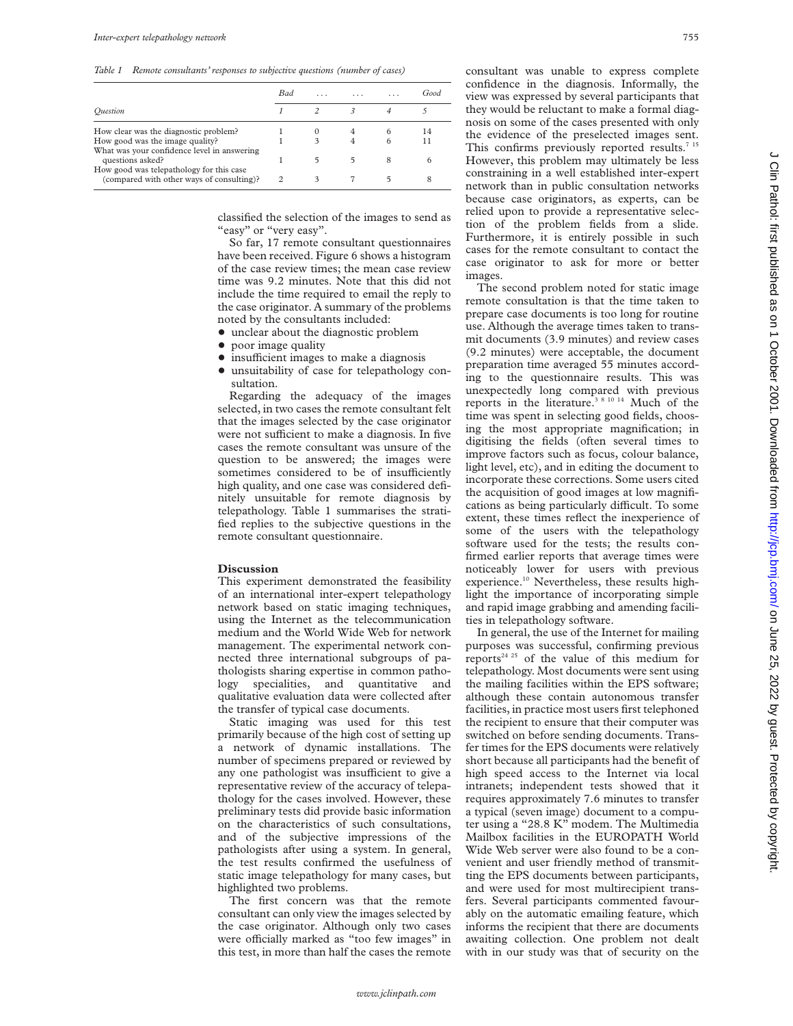*Table 1 Remote consultants' responses to subjective questions (number of cases)*

| <b>Bad</b> | $\cdots$ |   | Good |
|------------|----------|---|------|
|            |          |   |      |
|            |          |   | 14   |
|            |          |   | 11   |
|            |          | 8 |      |
|            |          |   |      |
|            |          |   |      |

classified the selection of the images to send as "easy" or "very easy".

So far, 17 remote consultant questionnaires have been received. Figure 6 shows a histogram of the case review times; the mean case review time was 9.2 minutes. Note that this did not include the time required to email the reply to the case originator. A summary of the problems noted by the consultants included:

- unclear about the diagnostic problem
- poor image quality
- insufficient images to make a diagnosis
- $\bullet$  unsuitability of case for telepathology consultation.

Regarding the adequacy of the images selected, in two cases the remote consultant felt that the images selected by the case originator were not sufficient to make a diagnosis. In five cases the remote consultant was unsure of the question to be answered; the images were sometimes considered to be of insufficiently high quality, and one case was considered definitely unsuitable for remote diagnosis by telepathology. Table 1 summarises the stratified replies to the subjective questions in the remote consultant questionnaire.

#### **Discussion**

This experiment demonstrated the feasibility of an international inter-expert telepathology network based on static imaging techniques, using the Internet as the telecommunication medium and the World Wide Web for network management. The experimental network connected three international subgroups of pathologists sharing expertise in common pathology specialities, and quantitative and qualitative evaluation data were collected after the transfer of typical case documents.

Static imaging was used for this test primarily because of the high cost of setting up a network of dynamic installations. The number of specimens prepared or reviewed by any one pathologist was insufficient to give a representative review of the accuracy of telepathology for the cases involved. However, these preliminary tests did provide basic information on the characteristics of such consultations, and of the subjective impressions of the pathologists after using a system. In general, the test results confirmed the usefulness of static image telepathology for many cases, but highlighted two problems.

The first concern was that the remote consultant can only view the images selected by the case originator. Although only two cases were officially marked as "too few images" in this test, in more than half the cases the remote consultant was unable to express complete confidence in the diagnosis. Informally, the view was expressed by several participants that they would be reluctant to make a formal diagnosis on some of the cases presented with only the evidence of the preselected images sent. This confirms previously reported results.<sup>7 15</sup> However, this problem may ultimately be less constraining in a well established inter-expert network than in public consultation networks because case originators, as experts, can be relied upon to provide a representative selection of the problem fields from a slide. Furthermore, it is entirely possible in such cases for the remote consultant to contact the case originator to ask for more or better images.

The second problem noted for static image remote consultation is that the time taken to prepare case documents is too long for routine use. Although the average times taken to transmit documents (3.9 minutes) and review cases (9.2 minutes) were acceptable, the document preparation time averaged 55 minutes according to the questionnaire results. This was unexpectedly long compared with previous reports in the literature.<sup>38 10 14</sup> Much of the time was spent in selecting good fields, choosing the most appropriate magnification; in digitising the fields (often several times to improve factors such as focus, colour balance, light level, etc), and in editing the document to incorporate these corrections. Some users cited the acquisition of good images at low magnifications as being particularly difficult. To some extent, these times reflect the inexperience of some of the users with the telepathology software used for the tests; the results confirmed earlier reports that average times were noticeably lower for users with previous experience.<sup>10</sup> Nevertheless, these results highlight the importance of incorporating simple and rapid image grabbing and amending facilities in telepathology software.

In general, the use of the Internet for mailing purposes was successful, confirming previous reports<sup>24 25</sup> of the value of this medium for telepathology. Most documents were sent using the mailing facilities within the EPS software; although these contain autonomous transfer facilities, in practice most users first telephoned the recipient to ensure that their computer was switched on before sending documents. Transfer times for the EPS documents were relatively short because all participants had the benefit of high speed access to the Internet via local intranets; independent tests showed that it requires approximately 7.6 minutes to transfer a typical (seven image) document to a computer using a "28.8 K" modem. The Multimedia Mailbox facilities in the EUROPATH World Wide Web server were also found to be a convenient and user friendly method of transmitting the EPS documents between participants, and were used for most multirecipient transfers. Several participants commented favourably on the automatic emailing feature, which informs the recipient that there are documents awaiting collection. One problem not dealt with in our study was that of security on the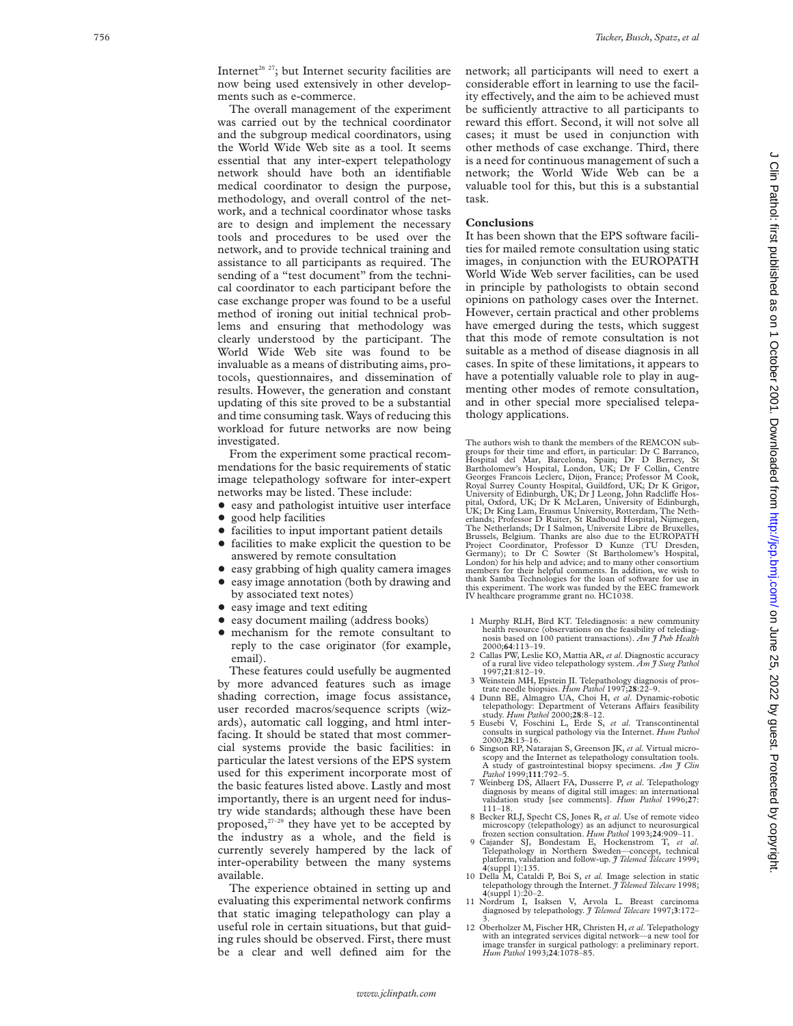Internet<sup>26 27</sup>; but Internet security facilities are now being used extensively in other developments such as e-commerce.

The overall management of the experiment was carried out by the technical coordinator and the subgroup medical coordinators, using the World Wide Web site as a tool. It seems essential that any inter-expert telepathology network should have both an identifiable medical coordinator to design the purpose, methodology, and overall control of the network, and a technical coordinator whose tasks are to design and implement the necessary tools and procedures to be used over the network, and to provide technical training and assistance to all participants as required. The sending of a "test document" from the technical coordinator to each participant before the case exchange proper was found to be a useful method of ironing out initial technical problems and ensuring that methodology was clearly understood by the participant. The World Wide Web site was found to be invaluable as a means of distributing aims, protocols, questionnaires, and dissemination of results. However, the generation and constant updating of this site proved to be a substantial and time consuming task. Ways of reducing this workload for future networks are now being investigated.

From the experiment some practical recommendations for the basic requirements of static image telepathology software for inter-expert networks may be listed. These include:

- $\bullet$  easy and pathologist intuitive user interface
- good help facilities
- facilities to input important patient details
- $\bullet$  facilities to make explicit the question to be answered by remote consultation
- easy grabbing of high quality camera images
- easy image annotation (both by drawing and by associated text notes)
- easy image and text editing
- $\bullet$  easy document mailing (address books)
- mechanism for the remote consultant to reply to the case originator (for example, email).

These features could usefully be augmented by more advanced features such as image shading correction, image focus assistance, user recorded macros/sequence scripts (wizards), automatic call logging, and html interfacing. It should be stated that most commercial systems provide the basic facilities: in particular the latest versions of the EPS system used for this experiment incorporate most of the basic features listed above. Lastly and most importantly, there is an urgent need for industry wide standards; although these have been proposed, $27-29$  they have yet to be accepted by the industry as a whole, and the field is currently severely hampered by the lack of inter-operability between the many systems available.

The experience obtained in setting up and evaluating this experimental network confirms that static imaging telepathology can play a useful role in certain situations, but that guiding rules should be observed. First, there must be a clear and well defined aim for the network; all participants will need to exert a considerable effort in learning to use the facility effectively, and the aim to be achieved must be sufficiently attractive to all participants to reward this effort. Second, it will not solve all cases; it must be used in conjunction with other methods of case exchange. Third, there is a need for continuous management of such a network; the World Wide Web can be a valuable tool for this, but this is a substantial task.

#### **Conclusions**

It has been shown that the EPS software facilities for mailed remote consultation using static images, in conjunction with the EUROPATH World Wide Web server facilities, can be used in principle by pathologists to obtain second opinions on pathology cases over the Internet. However, certain practical and other problems have emerged during the tests, which suggest that this mode of remote consultation is not suitable as a method of disease diagnosis in all cases. In spite of these limitations, it appears to have a potentially valuable role to play in augmenting other modes of remote consultation, and in other special more specialised telepathology applications.

The authors wish to thank the members of the REMCON subgroups for their time and effort, in particular: Dr C Barranco,<br>Hospital del Mar, Barcelona, Spain; Dr D Berney, St<br>Bartholomew's Hospital, London, UK; Dr F Collin, Centre<br>Georges Francois Leclerc, Dijon, France; Professor erlands; Professor D Ruiter, St Radboud Hospital, Nijmegen, The Netherlands; Dr I Salmon, Universite Libre de Bruxelles, Brussels, Belgium. Thanks are also due to the EUROPATH Project Coordinator, Professor D Kunze (TU Dresden, Germany); to Dr C Sowter (St Bartholomew's Hospital, London) for his help and advice; and to many other consortium members for their helpful comments. In addition, we wish to thank Samba Technologies for the loan of software for use in this experiment. The work was funded by the EEC framework IV healthcare programme grant no. HC1038.

- 1 Murphy RLH, Bird KT. Telediagnosis: a new community health resource (observations on the feasibility of telediagnosis based on 100 patient transactions). *Am J Pub Health*
- 2000;**64**:113–19. 2 Callas PW, Leslie KO, Mattia AR, *et al*. Diagnostic accuracy of a rural live video telepathology system. *Am J Surg Pathol*
- 1997;**21**:812–19. 3 Weinstein MH, Epstein JI. Telepathology diagnosis of pros-trate needle biopsies. *Hum Pathol* 1997;**28**:22–9. 4 Dunn BE, Almagro UA, Choi H, *et al*. Dynamic-robotic
- telepathology: Department of Veterans Affairs feasibility<br>study. Hum Pathol 2000;28:8-12.
- 5 Eusebi V, Foschini L, Erde S, *et al*. Transcontinental consults in surgical pathology via the Internet. *Hum Pathol* 2000;**28**:13–16.
- 6 Singson RP, Natarajan S, Greenson JK, *et al.* Virtual microscopy and the Internet as telepathology consultation tools. A study of gastrointestinal biopsy specimens. *Am J Clin Pathol* 1999;**111**:792–5.
- 7 Weinberg DS, Allaert FA, Dusserre P, *et al*. Telepathology diagnosis by means of digital still images: an international validation study [see comments]. *Hum Pathol* 1996;**27** : 111–18.
- 8 Becker RLJ, Specht CS, Jones R, *et al*. Use of remote video microscopy (telepathology) as an adjunct to neurosurgical frozen section consultation. *Hum Pathol* 1993;**24**:909–11.
- 9 Cajander SJ, Bondestam E, Hockenstrom T, *et al* . Telepathology in Northern Sweden—concept, technical platform, validation and follow-up. *J Telemed Telecare* 1999; **<sup>4</sup>**(suppl 1):135. 10 Della M, Cataldi P, Boi S, *et al.* Image selection in static
- telepathology through the Internet. *J Telemed Telecare* 1998;<br>4(suppl 1):20–2.<br>11 Nordrum I. Isaksen V. Arvola I. Breast carcinoma
- 11 Nordrum I, Isaksen V, Arvola L. Breast carcinoma diagnosed by telepathology. *J Telemed Telecare* 1997; **3**:172–
- 3. 12 Oberholzer M, Fischer HR, Christen H,*et al*. Telepathology with an integrated services digital network—a new tool for image transfer in surgical pathology: a preliminary report. *Hum Pathol* 1993;**24**:1078–85.